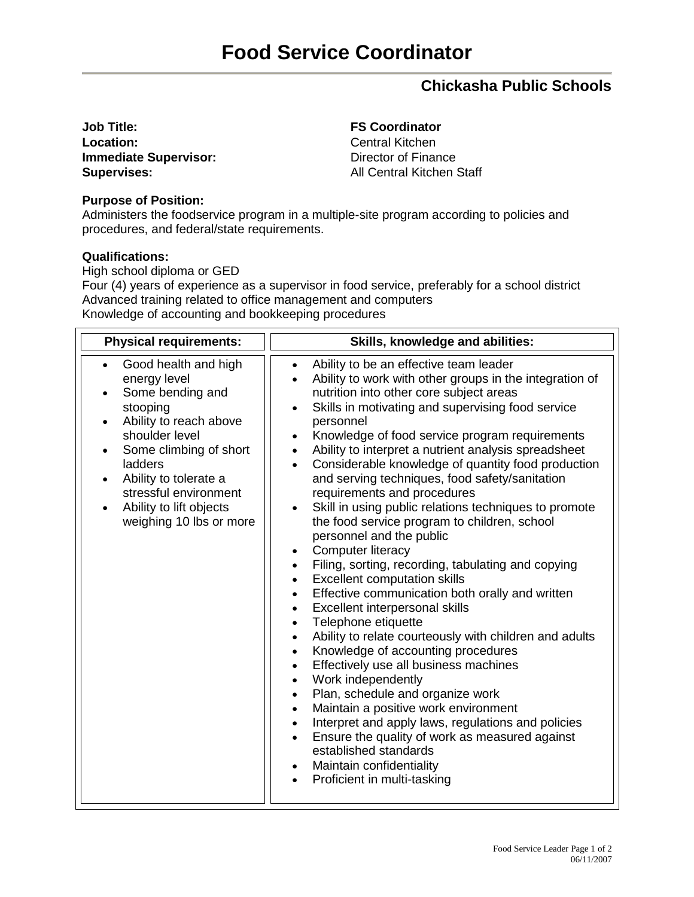## **[Chickasha](http://www.worthingtonlibraries.org/) Public Schools**

**Job Title: FS Coordinator** Location: Central Kitchen **Immediate Supervisor:** Director of Finance **Supervises:** All Central Kitchen Staff

## **Purpose of Position:**

Administers the foodservice program in a multiple-site program according to policies and procedures, and federal/state requirements.

## **Qualifications:**

High school diploma or GED

Four (4) years of experience as a supervisor in food service, preferably for a school district Advanced training related to office management and computers Knowledge of accounting and bookkeeping procedures

| <b>Physical requirements:</b>                                                                                                                                                                                                                                                                                     | Skills, knowledge and abilities:                                                                                                                                                                                                                                                                                                                                                                                                                                                                                                                                                                                                                                                                                                                                                                                                                                                                                                                                                                                                                                                                                                                                                                                                                                                                                                                                                                                                                                                          |
|-------------------------------------------------------------------------------------------------------------------------------------------------------------------------------------------------------------------------------------------------------------------------------------------------------------------|-------------------------------------------------------------------------------------------------------------------------------------------------------------------------------------------------------------------------------------------------------------------------------------------------------------------------------------------------------------------------------------------------------------------------------------------------------------------------------------------------------------------------------------------------------------------------------------------------------------------------------------------------------------------------------------------------------------------------------------------------------------------------------------------------------------------------------------------------------------------------------------------------------------------------------------------------------------------------------------------------------------------------------------------------------------------------------------------------------------------------------------------------------------------------------------------------------------------------------------------------------------------------------------------------------------------------------------------------------------------------------------------------------------------------------------------------------------------------------------------|
| Good health and high<br>$\bullet$<br>energy level<br>Some bending and<br>stooping<br>Ability to reach above<br>$\bullet$<br>shoulder level<br>Some climbing of short<br>$\bullet$<br>ladders<br>Ability to tolerate a<br>$\bullet$<br>stressful environment<br>Ability to lift objects<br>weighing 10 lbs or more | Ability to be an effective team leader<br>$\bullet$<br>Ability to work with other groups in the integration of<br>nutrition into other core subject areas<br>Skills in motivating and supervising food service<br>personnel<br>Knowledge of food service program requirements<br>$\bullet$<br>Ability to interpret a nutrient analysis spreadsheet<br>$\bullet$<br>Considerable knowledge of quantity food production<br>$\bullet$<br>and serving techniques, food safety/sanitation<br>requirements and procedures<br>Skill in using public relations techniques to promote<br>the food service program to children, school<br>personnel and the public<br>Computer literacy<br>$\bullet$<br>Filing, sorting, recording, tabulating and copying<br><b>Excellent computation skills</b><br>Effective communication both orally and written<br>$\bullet$<br>Excellent interpersonal skills<br>$\bullet$<br>Telephone etiquette<br>$\bullet$<br>Ability to relate courteously with children and adults<br>$\bullet$<br>Knowledge of accounting procedures<br>$\bullet$<br>Effectively use all business machines<br>$\bullet$<br>Work independently<br>$\bullet$<br>Plan, schedule and organize work<br>$\bullet$<br>Maintain a positive work environment<br>$\bullet$<br>Interpret and apply laws, regulations and policies<br>$\bullet$<br>Ensure the quality of work as measured against<br>established standards<br>Maintain confidentiality<br>$\bullet$<br>Proficient in multi-tasking |